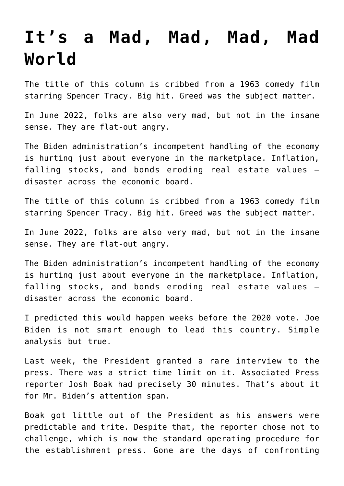## **[It's a Mad, Mad, Mad, Mad](https://bernardgoldberg.com/its-a-mad-mad-mad-mad-world/) [World](https://bernardgoldberg.com/its-a-mad-mad-mad-mad-world/)**

The title of this column is cribbed from a 1963 comedy film starring Spencer Tracy. Big hit. Greed was the subject matter.

In June 2022, folks are also very mad, but not in the insane sense. They are flat-out angry.

The Biden administration's incompetent handling of the economy is hurting just about everyone in the marketplace. Inflation, falling stocks, and bonds eroding real estate values – disaster across the economic board.

The title of this column is cribbed from a 1963 comedy film starring Spencer Tracy. Big hit. Greed was the subject matter.

In June 2022, folks are also very mad, but not in the insane sense. They are flat-out angry.

The Biden administration's incompetent handling of the economy is hurting just about everyone in the marketplace. Inflation, falling stocks, and bonds eroding real estate values – disaster across the economic board.

I predicted this would happen weeks before the 2020 vote. Joe Biden is not smart enough to lead this country. Simple analysis but true.

Last week, the President granted a rare interview to the press. There was a strict time limit on it. Associated Press reporter Josh Boak had precisely 30 minutes. That's about it for Mr. Biden's attention span.

Boak got little out of the President as his answers were predictable and trite. Despite that, the reporter chose not to challenge, which is now the standard operating procedure for the establishment press. Gone are the days of confronting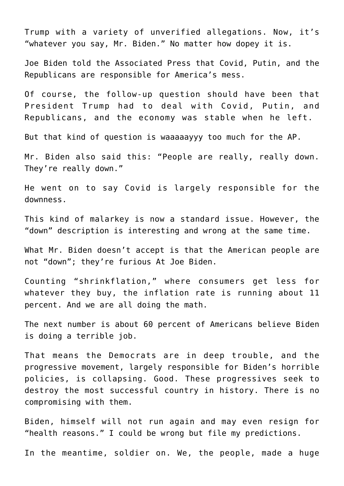Trump with a variety of unverified allegations. Now, it's "whatever you say, Mr. Biden." No matter how dopey it is.

Joe Biden told the Associated Press that Covid, Putin, and the Republicans are responsible for America's mess.

Of course, the follow-up question should have been that President Trump had to deal with Covid, Putin, and Republicans, and the economy was stable when he left.

But that kind of question is waaaaayyy too much for the AP.

Mr. Biden also said this: "People are really, really down. They're really down."

He went on to say Covid is largely responsible for the downness.

This kind of malarkey is now a standard issue. However, the "down" description is interesting and wrong at the same time.

What Mr. Biden doesn't accept is that the American people are not "down"; they're furious At Joe Biden.

Counting "shrinkflation," where consumers get less for whatever they buy, the inflation rate is running about 11 percent. And we are all doing the math.

The next number is about 60 percent of Americans believe Biden is doing a terrible job.

That means the Democrats are in deep trouble, and the progressive movement, largely responsible for Biden's horrible policies, is collapsing. Good. These progressives seek to destroy the most successful country in history. There is no compromising with them.

Biden, himself will not run again and may even resign for "health reasons." I could be wrong but file my predictions.

In the meantime, soldier on. We, the people, made a huge